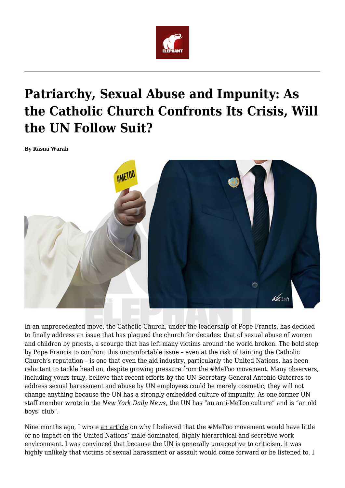

# **Patriarchy, Sexual Abuse and Impunity: As the Catholic Church Confronts Its Crisis, Will the UN Follow Suit?**

**By Rasna Warah**



In an unprecedented move, the Catholic Church, under the leadership of Pope Francis, has decided to finally address an issue that has plagued the church for decades: that of sexual abuse of women and children by priests, a scourge that has left many victims around the world broken. The bold step by Pope Francis to confront this uncomfortable issue – even at the risk of tainting the Catholic Church's reputation – is one that even the aid industry, particularly the United Nations, has been reluctant to tackle head on, despite growing pressure from the #MeToo movement. Many observers, including yours truly, believe that recent efforts by the UN Secretary-General Antonio Guterres to address sexual harassment and abuse by UN employees could be merely cosmetic; they will not change anything because the UN has a strongly embedded culture of impunity. As one former UN staff member wrote in the *New York Daily News*, the UN has "an anti-MeToo culture" and is "an old boys' club".

Nine months ago, I wrote an article on why I believed that the #MeToo movement would have little or no impact on the United Nations' male-dominated, highly hierarchical and secretive work environment. I was convinced that because the UN is generally unreceptive to criticism, it was highly unlikely that victims of sexual harassment or assault would come forward or be listened to. I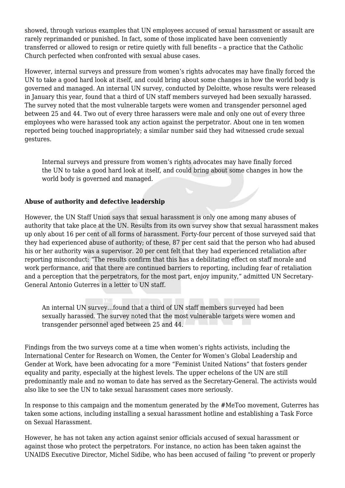showed, through various examples that UN employees accused of sexual harassment or assault are rarely reprimanded or punished. In fact, some of those implicated have been conveniently transferred or allowed to resign or retire quietly with full benefits – a practice that the Catholic Church perfected when confronted with sexual abuse cases.

However, internal surveys and pressure from women's rights advocates may have finally forced the UN to take a good hard look at itself, and could bring about some changes in how the world body is governed and managed. An internal UN survey, conducted by Deloitte, whose results were released in January this year, found that a third of UN staff members surveyed had been sexually harassed. The survey noted that the most vulnerable targets were women and transgender personnel aged between 25 and 44. Two out of every three harassers were male and only one out of every three employees who were harassed took any action against the perpetrator. About one in ten women reported being touched inappropriately; a similar number said they had witnessed crude sexual gestures.

Internal surveys and pressure from women's rights advocates may have finally forced the UN to take a good hard look at itself, and could bring about some changes in how the world body is governed and managed.

## **Abuse of authority and defective leadership**

However, the UN Staff Union says that sexual harassment is only one among many abuses of authority that take place at the UN. Results from its own survey show that sexual harassment makes up only about 16 per cent of all forms of harassment. Forty-four percent of those surveyed said that they had experienced abuse of authority; of these, 87 per cent said that the person who had abused his or her authority was a supervisor. 20 per cent felt that they had experienced retaliation after reporting misconduct: "The results confirm that this has a debilitating effect on staff morale and work performance, and that there are continued barriers to reporting, including fear of retaliation and a perception that the perpetrators, for the most part, enjoy impunity," admitted UN Secretary-General Antonio Guterres in a letter to UN staff.

An internal UN survey…found that a third of UN staff members surveyed had been sexually harassed. The survey noted that the most vulnerable targets were women and transgender personnel aged between 25 and 44.

Findings from the two surveys come at a time when women's rights activists, including the International Center for Research on Women, the Center for Women's Global Leadership and Gender at Work, have been advocating for a more "Feminist United Nations" that fosters gender equality and parity, especially at the highest levels. The upper echelons of the UN are still predominantly male and no woman to date has served as the Secretary-General. The activists would also like to see the UN to take sexual harassment cases more seriously.

In response to this campaign and the momentum generated by the #MeToo movement, Guterres has taken some actions, including installing a sexual harassment hotline and establishing a Task Force on Sexual Harassment.

However, he has not taken any action against senior officials accused of sexual harassment or against those who protect the perpetrators. For instance, no action has been taken against the UNAIDS Executive Director, Michel Sidibe, who has been accused of failing "to prevent or properly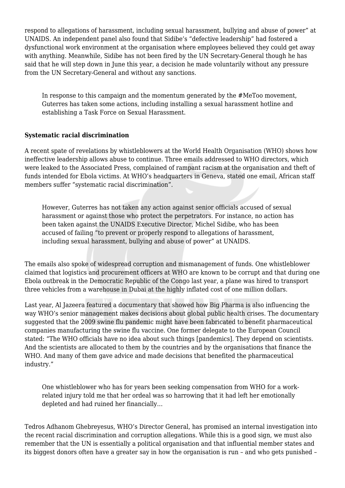respond to allegations of harassment, including sexual harassment, bullying and abuse of power" at UNAIDS. An independent panel also found that Sidibe's "defective leadership" had fostered a dysfunctional work environment at the organisation where employees believed they could get away with anything. Meanwhile, Sidibe has not been fired by the UN Secretary-General though he has said that he will step down in June this year, a decision he made voluntarily without any pressure from the UN Secretary-General and without any sanctions.

In response to this campaign and the momentum generated by the #MeToo movement, Guterres has taken some actions, including installing a sexual harassment hotline and establishing a Task Force on Sexual Harassment.

### **Systematic racial discrimination**

A recent spate of revelations by whistleblowers at the World Health Organisation (WHO) shows how ineffective leadership allows abuse to continue. Three emails addressed to WHO directors, which were leaked to the Associated Press, complained of rampant racism at the organisation and theft of funds intended for Ebola victims. At WHO's headquarters in Geneva, stated one email, African staff members suffer "systematic racial discrimination".

However, Guterres has not taken any action against senior officials accused of sexual harassment or against those who protect the perpetrators. For instance, no action has been taken against the UNAIDS Executive Director, Michel Sidibe, who has been accused of failing "to prevent or properly respond to allegations of harassment, including sexual harassment, bullying and abuse of power" at UNAIDS.

The emails also spoke of widespread corruption and mismanagement of funds. One whistleblower claimed that logistics and procurement officers at WHO are known to be corrupt and that during one Ebola outbreak in the Democratic Republic of the Congo last year, a plane was hired to transport three vehicles from a warehouse in Dubai at the highly inflated cost of one million dollars.

Last year, Al Jazeera featured a documentary that showed how Big Pharma is also influencing the way WHO's senior management makes decisions about global public health crises. The documentary suggested that the 2009 swine flu pandemic might have been fabricated to benefit pharmaceutical companies manufacturing the swine flu vaccine. One former delegate to the European Council stated: "The WHO officials have no idea about such things [pandemics]. They depend on scientists. And the scientists are allocated to them by the countries and by the organisations that finance the WHO. And many of them gave advice and made decisions that benefited the pharmaceutical industry."

One whistleblower who has for years been seeking compensation from WHO for a workrelated injury told me that her ordeal was so harrowing that it had left her emotionally depleted and had ruined her financially…

Tedros Adhanom Ghebreyesus, WHO's Director General, has promised an internal investigation into the recent racial discrimination and corruption allegations. While this is a good sign, we must also remember that the UN is essentially a political organisation and that influential member states and its biggest donors often have a greater say in how the organisation is run – and who gets punished –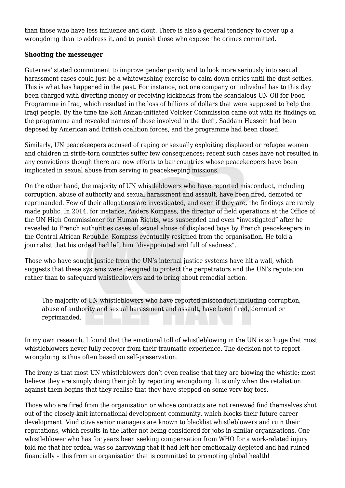than those who have less influence and clout. There is also a general tendency to cover up a wrongdoing than to address it, and to punish those who expose the crimes committed.

## **Shooting the messenger**

Guterres' stated commitment to improve gender parity and to look more seriously into sexual harassment cases could just be a whitewashing exercise to calm down critics until the dust settles. This is what has happened in the past. For instance, not one company or individual has to this day been charged with diverting money or receiving kickbacks from the scandalous UN Oil-for-Food Programme in Iraq, which resulted in the loss of billions of dollars that were supposed to help the Iraqi people. By the time the Kofi Annan-initiated Volcker Commission came out with its findings on the programme and revealed names of those involved in the theft, Saddam Hussein had been deposed by American and British coalition forces, and the programme had been closed.

Similarly, UN peacekeepers accused of raping or sexually exploiting displaced or refugee women and children in strife-torn countries suffer few consequences; recent such cases have not resulted in any convictions though there are now efforts to bar countries whose peacekeepers have been implicated in sexual abuse from serving in peacekeeping missions.

On the other hand, the majority of UN whistleblowers who have reported misconduct, including corruption, abuse of authority and sexual harassment and assault, have been fired, demoted or reprimanded. Few of their allegations are investigated, and even if they are, the findings are rarely made public. In 2014, for instance, Anders Kompass, the director of field operations at the Office of the UN High Commissioner for Human Rights, was suspended and even "investigated" after he revealed to French authorities cases of sexual abuse of displaced boys by French peacekeepers in the Central African Republic. Kompass eventually resigned from the organisation. He told a journalist that his ordeal had left him "disappointed and full of sadness".

Those who have sought justice from the UN's internal justice systems have hit a wall, which suggests that these systems were designed to protect the perpetrators and the UN's reputation rather than to safeguard whistleblowers and to bring about remedial action.

The majority of UN whistleblowers who have reported misconduct, including corruption, abuse of authority and sexual harassment and assault, have been fired, demoted or reprimanded.

In my own research, I found that the emotional toll of whistleblowing in the UN is so huge that most whistleblowers never fully recover from their traumatic experience. The decision not to report wrongdoing is thus often based on self-preservation.

The irony is that most UN whistleblowers don't even realise that they are blowing the whistle; most believe they are simply doing their job by reporting wrongdoing. It is only when the retaliation against them begins that they realise that they have stepped on some very big toes.

Those who are fired from the organisation or whose contracts are not renewed find themselves shut out of the closely-knit international development community, which blocks their future career development. Vindictive senior managers are known to blacklist whistleblowers and ruin their reputations, which results in the latter not being considered for jobs in similar organisations. One whistleblower who has for years been seeking compensation from WHO for a work-related injury told me that her ordeal was so harrowing that it had left her emotionally depleted and had ruined financially – this from an organisation that is committed to promoting global health!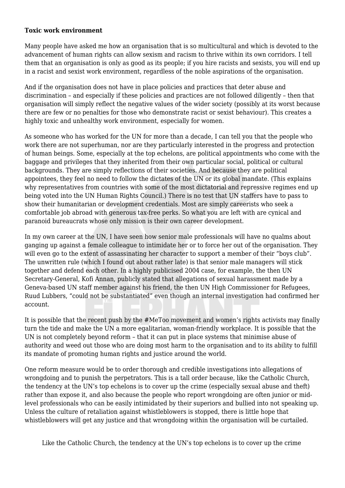#### **Toxic work environment**

Many people have asked me how an organisation that is so multicultural and which is devoted to the advancement of human rights can allow sexism and racism to thrive within its own corridors. I tell them that an organisation is only as good as its people; if you hire racists and sexists, you will end up in a racist and sexist work environment, regardless of the noble aspirations of the organisation.

And if the organisation does not have in place policies and practices that deter abuse and discrimination – and especially if these policies and practices are not followed diligently – then that organisation will simply reflect the negative values of the wider society (possibly at its worst because there are few or no penalties for those who demonstrate racist or sexist behaviour). This creates a highly toxic and unhealthy work environment, especially for women.

As someone who has worked for the UN for more than a decade, I can tell you that the people who work there are not superhuman, nor are they particularly interested in the progress and protection of human beings. Some, especially at the top echelons, are political appointments who come with the baggage and privileges that they inherited from their own particular social, political or cultural backgrounds. They are simply reflections of their societies. And because they are political appointees, they feel no need to follow the dictates of the UN or its global mandate. (This explains why representatives from countries with some of the most dictatorial and repressive regimes end up being voted into the UN Human Rights Council.) There is no test that UN staffers have to pass to show their humanitarian or development credentials. Most are simply careerists who seek a comfortable job abroad with generous tax-free perks. So what you are left with are cynical and paranoid bureaucrats whose only mission is their own career development.

In my own career at the UN, I have seen how senior male professionals will have no qualms about ganging up against a female colleague to intimidate her or to force her out of the organisation. They will even go to the extent of assassinating her character to support a member of their "boys club". The unwritten rule (which I found out about rather late) is that senior male managers will stick together and defend each other. In a highly publicised 2004 case, for example, the then UN Secretary-General, Kofi Annan, publicly stated that allegations of sexual harassment made by a Geneva-based UN staff member against his friend, the then UN High Commissioner for Refugees, Ruud Lubbers, "could not be substantiated" even though an internal investigation had confirmed her account.

It is possible that the recent push by the #MeToo movement and women's rights activists may finally turn the tide and make the UN a more egalitarian, woman-friendly workplace. It is possible that the UN is not completely beyond reform – that it can put in place systems that minimise abuse of authority and weed out those who are doing most harm to the organisation and to its ability to fulfill its mandate of promoting human rights and justice around the world.

One reform measure would be to order thorough and credible investigations into allegations of wrongdoing and to punish the perpetrators. This is a tall order because, like the Catholic Church, the tendency at the UN's top echelons is to cover up the crime (especially sexual abuse and theft) rather than expose it, and also because the people who report wrongdoing are often junior or midlevel professionals who can be easily intimidated by their superiors and bullied into not speaking up. Unless the culture of retaliation against whistleblowers is stopped, there is little hope that whistleblowers will get any justice and that wrongdoing within the organisation will be curtailed.

Like the Catholic Church, the tendency at the UN's top echelons is to cover up the crime